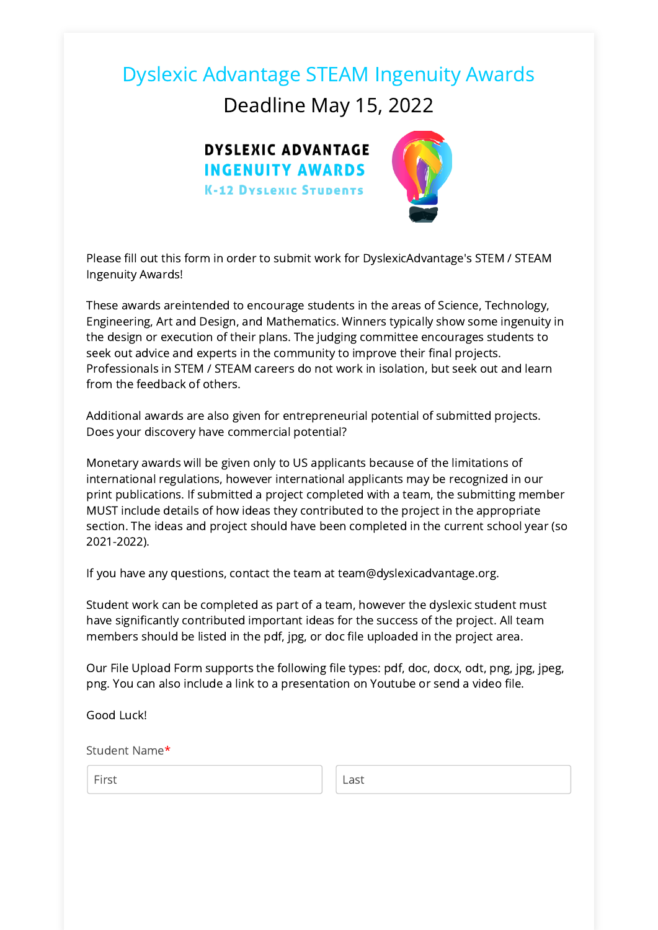# Dyslexic Advantage STEAM Ingenuity Awards

Deadline May 15, 2022



Please fill out this form in order to submit work for DyslexicAdvantage's STEM / STEAM Ingenuity Awards!

These awards areintended to encourage students in the areas of Science, Technology, Engineering, Art and Design, and Mathematics. Winners typically show some ingenuity in the design or execution of their plans. The judging committee encourages students to seek out advice and experts in the community to improve their final projects. Professionals in STEM / STEAM careers do not work in isolation, but seek out and learn from the feedback of others.

Additional awards are also given for entrepreneurial potential of submitted projects. Does your discovery have commercial potential?

Monetary awards will be given only to US applicants because of the limitations of international regulations, however international applicants may be recognized in our print publications. If submitted a project completed with a team, the submitting member MUST include details of how ideas they contributed to the project in the appropriate section. The ideas and project should have been completed in the current school year (so 2021-2022).

If you have any questions, contact the team at team@dyslexicadvantage.org.

Student work can be completed as part of a team, however the dyslexic student must have significantly contributed important ideas for the success of the project. All team members should be listed in the pdf, jpg, or doc file uploaded in the project area.

Our File Upload Form supports the following file types: pdf, doc, docx, odt, png, jpg, jpeg, png. You can also include a link to a presentation on Youtube or send a video file.

Good Luck!

Student Name\*

First Last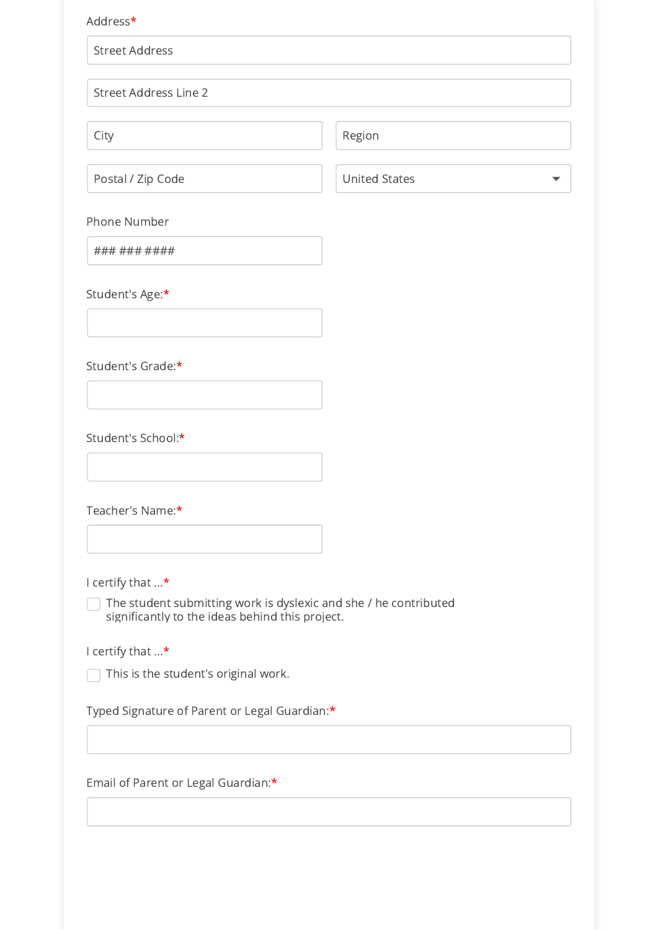#### Address\*

Street Address

Street Address Line 2

City **City** Region

Postal / Zip Code United States

▼

Phone Number

### ### ####

Student's Age:\*

Student's Grade:\*

Student's School:\*

Teacher's Name:\*

I certify that ...\*

The student submitting work is dyslexic and she / he contributed significantly to the ideas behind this project.

I certify that ...\*

 $\Box$  This is the student's original work.

Typed Signature of Parent or Legal Guardian:\*

Email of Parent or Legal Guardian:\*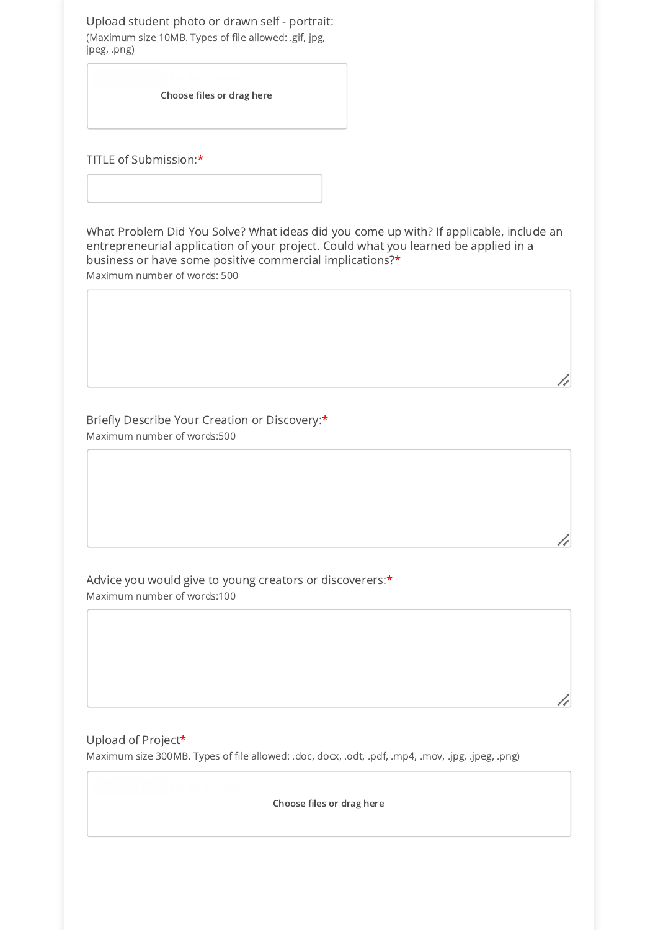Upload student photo or drawn self - portrait: (Maximum size 10MB. Types of file allowed: .gif, jpg, jpeg, .png)

Choose files or drag here

TITLE of Submission:\*

What Problem Did You Solve? What ideas did you come up with? If applicable, include an entrepreneurial application of your project. Could what you learned be applied in a business or have some positive commercial implications?\* Maximum number of words: 500

Briefly Describe Your Creation or Discovery:\* Maximum number of words:500

Advice you would give to young creators or discoverers:\* Maximum number of words:100

Upload of Project\* Maximum size 300MB. Types of file allowed: .doc, docx, .odt, .pdf, .mp4, .mov, .jpg, .jpeg, .png)

Choose files or drag here

7